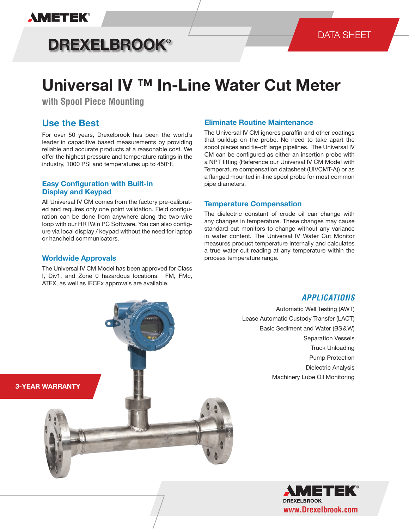# **AMETEK®**

# **DREXELBROOK®**

# **Universal IV ™ In-Line Water Cut Meter**

**with Spool Piece Mounting**

# **Use the Best**

For over 50 years, Drexelbrook has been the world's leader in capacitive based measurements by providing reliable and accurate products at a reasonable cost. We offer the highest pressure and temperature ratings in the industry, 1000 PSI and temperatures up to 450°F.

### **Easy Configuration with Built-in Display and Keypad**

All Universal IV CM comes from the factory pre-calibrated and requires only one point validation. Field configuration can be done from anywhere along the two-wire loop with our HRTWin PC Software. You can also configure via local display / keypad without the need for laptop or handheld communicators.

### **Worldwide Approvals**

The Universal IV CM Model has been approved for Class I, Div1, and Zone 0 hazardous locations. FM, FMc, ATEX, as well as IECEx approvals are available.

### **Eliminate Routine Maintenance**

The Universal IV CM ignores paraffin and other coatings that buildup on the probe. No need to take apart the spool pieces and tie-off large pipelines. The Universal IV CM can be configured as either an insertion probe with a NPT fitting (Reference our Universal IV CM Model with Temperature compensation datasheet (UIVCMT-A)) or as a flanged mounted in-line spool probe for most common pipe diameters.

### **Temperature Compensation**

The dielectric constant of crude oil can change with any changes in temperature. These changes may cause standard cut monitors to change without any variance in water content. The Universal IV Water Cut Monitor measures product temperature internally and calculates a true water cut reading at any temperature within the process temperature range.



Automatic Well Testing (AWT) Lease Automatic Custody Transfer (LACT) Basic Sediment and Water (BS & W) Separation Vessels Truck Unloading Pump Protection Dielectric Analysis Machinery Lube Oil Monitoring



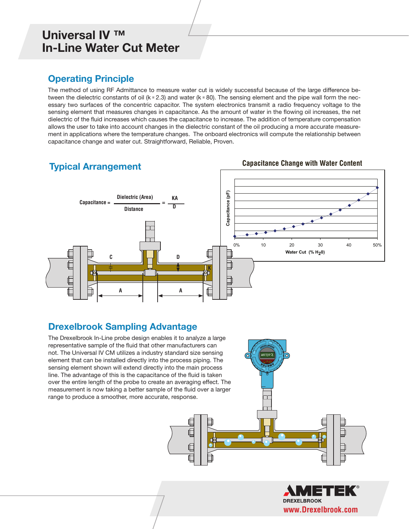## **Operating Principle**

The method of using RF Admittance to measure water cut is widely successful because of the large difference between the dielectric constants of oil (k  $\approx$  2.3) and water (k  $\approx$  80). The sensing element and the pipe wall form the necessary two surfaces of the concentric capacitor. The system electronics transmit a radio frequency voltage to the sensing element that measures changes in capacitance. As the amount of water in the flowing oil increases, the net dielectric of the fluid increases which causes the capacitance to increase. The addition of temperature compensation allows the user to take into account changes in the dielectric constant of the oil producing a more accurate measurement in applications where the temperature changes. The onboard electronics will compute the relationship between capacitance change and water cut. Straightforward, Reliable, Proven.

### **Typical Arrangement**



# **Drexelbrook Sampling Advantage**

The Drexelbrook In-Line probe design enables it to analyze a large representative sample of the fluid that other manufacturers can not. The Universal IV CM utilizes a industry standard size sensing element that can be installed directly into the process piping. The sensing element shown will extend directly into the main process line. The advantage of this is the capacitance of the fluid is taken over the entire length of the probe to create an averaging effect. The measurement is now taking a better sample of the fluid over a larger range to produce a smoother, more accurate, response.



**Capacitance Change with Water Content**

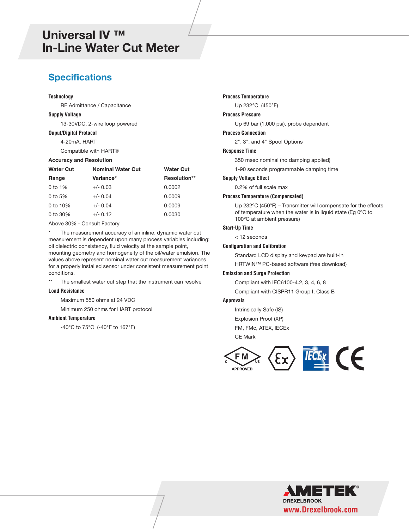### **Specifications**

#### **Technology**

RF Admittance / Capacitance

#### **Supply Voltage**

13-30VDC, 2-wire loop powered

#### **Ouput/Digital Protocol**

4-20mA, HART

Compatible with HART®

#### **Accuracy and Resolution**

| <b>Water Cut</b> | <b>Nominal Water Cut</b> | <b>Water Cut</b> |  |  |
|------------------|--------------------------|------------------|--|--|
| Range            | Variance*                | Resolution**     |  |  |
| 0 to $1\%$       | $+/- 0.03$               | 0.0002           |  |  |
| 0 to $5%$        | $+/- 0.04$               | 0.0009           |  |  |
| 0 to $10\%$      | $+/- 0.04$               | 0.0009           |  |  |
| 0 to $30\%$      | $+/- 0.12$               | 0.0030           |  |  |

Above 30% - Consult Factory

The measurement accuracy of an inline, dynamic water cut measurement is dependent upon many process variables including: oil dielectric consistency, fluid velocity at the sample point, mounting geometry and homogeneity of the oil/water emulsion. The values above represent nominal water cut measurement variances for a properly installed sensor under consistent measurement point conditions.

\*\* The smallest water cut step that the instrument can resolve

#### **Load Resistance**

Maximum 550 ohms at 24 VDC

Minimum 250 ohms for HART protocol

#### **Ambient Temperature**

-40°C to 75°C (-40°F to 167°F)

#### **Process Temperature**

Up 232°C (450°F)

#### **Process Pressure**

Up 69 bar (1,000 psi), probe dependent

#### **Process Connection**

2", 3", and 4" Spool Options

#### **Response Time**

350 msec nominal (no damping applied)

1-90 seconds programmable damping time

#### **Supply Voltage Effect**

0.2% of full scale max

#### **Process Temperature (Compensated)**

 Up 232ºC (450ºF) – Transmitter will compensate for the effects of temperature when the water is in liquid state (Eg 0ºC to 100ºC at ambient pressure)

#### **Start-Up Time**

< 12 seconds

#### **Configuration and Calibration**

Standard LCD display and keypad are built-in

HRTWIN™ PC-based software (free download)

#### **Emission and Surge Protection**

Compliant with IEC6100-4.2, 3, 4, 6, 8

Compliant with CISPR11 Group I, Class B

#### **Approvals**

Intrinsically Safe (IS) Explosion Proof (XP) FM, FMc, ATEX, IECEx CE Mark



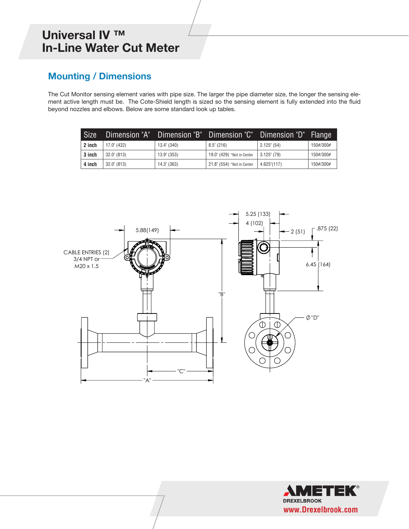# **Mounting / Dimensions**

The Cut Monitor sensing element varies with pipe size. The larger the pipe diameter size, the longer the sensing element active length must be. The Cote-Shield length is sized so the sensing element is fully extended into the fluid beyond nozzles and elbows. Below are some standard look up tables.

| <b>Size</b> | Dimension "A"        | Dimension "B"        | Dimension "C" !            | Dimension "D"  | 'Flange   |
|-------------|----------------------|----------------------|----------------------------|----------------|-----------|
| 2 inch      | 17.0" (432)          | $13.4^{\circ}$ (340) | $8.5^{\circ}$ (216)        | $2.125$ " (54) | 150#/300# |
| 3 inch      | $32.0^{\circ}$ (813) | $13.9'$ (353)        | 19.0" (429) *Not in Center | $3.125$ " (79) | 150#/300# |
| 4 inch      | $32.0^{\circ}$ (813) | $14.3^{\circ}$ (363) | 21.8" (554) *Not in Center | 4.625''(117)   | 150#/300# |



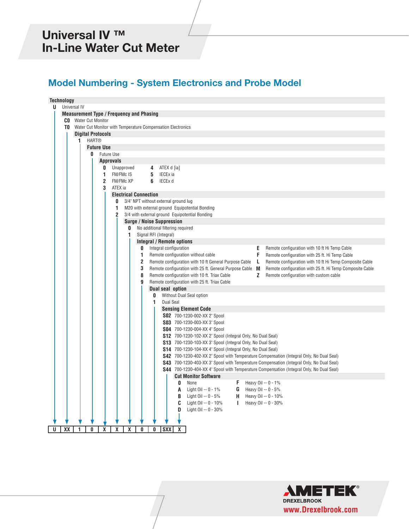## **Model Numbering - System Electronics and Probe Model**